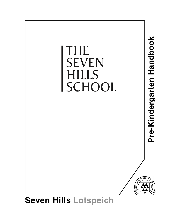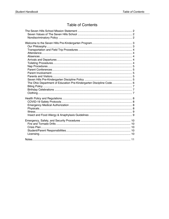# **Table of Contents**

| The Ohio Department of Education Pre-Kindergarten Discipline Code 6 |  |
|---------------------------------------------------------------------|--|
|                                                                     |  |
|                                                                     |  |
|                                                                     |  |
|                                                                     |  |
|                                                                     |  |
|                                                                     |  |
|                                                                     |  |
|                                                                     |  |
|                                                                     |  |
|                                                                     |  |
|                                                                     |  |
|                                                                     |  |
|                                                                     |  |
|                                                                     |  |
|                                                                     |  |
|                                                                     |  |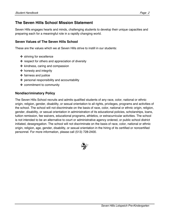# **The Seven Hills School Mission Statement**

Seven Hills engages hearts and minds, challenging students to develop their unique capacities and preparing each for a meaningful role in a rapidly changing world.

## **Seven Values of The Seven Hills School**

These are the values which we at Seven Hills strive to instill in our students:

- ✤ striving for excellence
- ✤ respect for others and appreciation of diversity
- ✤ kindness, caring and compassion
- ✤ honesty and integrity
- ✤ fairness and justice
- ✤ personal responsibility and accountability
- ✤ commitment to community

### **Nondiscriminatory Policy**

The Seven Hills School recruits and admits qualified students of any race, color, national or ethnic origin, religion, gender, disability, or sexual orientation to all rights, privileges, programs and activities of the school. The school will not discriminate on the basis of race, color, national or ethnic origin, religion, gender, disability, or sexual orientation in administration of its educational policies, scholarships, loans, tuition remission, fee waivers, educational programs, athletics, or extracurricular activities. The school is not intended to be an alternative to court or administrative agency ordered, or public school district initiated, desegregation. The school will not discriminate on the basis of race, color, national or ethnic origin, religion, age, gender, disability, or sexual orientation in the hiring of its certified or noncertified personnel. For more information, please call (513) 728-2400.

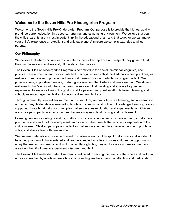# **Welcome to the Seven Hills Pre-Kindergarten Program**

Welcome to the Seven Hills Pre-Kindergarten Program. Our purpose is to provide the highest quality pre-kindergarten education in a secure, nurturing, and stimulating environment. We believe that you, the child's parents, are a most important link in the educational chain and that together we can make your child's experience an excellent and enjoyable one. A sincere welcome is extended to all our parents.

## **Our Philosophy**

We believe that when children learn in an atmosphere of acceptance and respect, they grow to trust their own talents and abilities and, ultimately, in themselves.

The Seven Hills Pre-Kindergarten Program is committed to the social, emotional, cognitive, and physical development of each individual child. Recognized early childhood education best practices, as well as current research, provide the theoretical framework around which our program is built. We provide a safe, supportive, creative, nurturing environment that fosters children's learning. We strive to make each child's entry into the school world a successful, stimulating and above all a positive experience. As we work toward the goal to instill a passion and positive attitude toward learning and school, we encourage the children to become divergent thinkers.

Through a carefully planned environment and curriculum, we promote active learning, social interaction, and autonomy. Materials are selected to facilitate children's construction of knowledge. Learning is also supported through naturally occurring play that encourages exploration and experimentation. Children are active participants in an environment that encourages critical thinking and involvement.

Learning centers for writing, literature, math, construction, science, sensory development, art, dramatic play, large and small motor development, and social studies provide the vehicle for exploration of the child's interest. Children participate in activities that encourage them to explore, experiment, problemsolve, and share ideas with one another.

We prepare materials and our environment to challenge each child's spirit of discovery and wonder. A balanced program of child-centered and teacher-directed activities provides children the opportunity to enjoy the freedom and responsibility of choice. Through play, they explore a loving environment and are given the gift of time to experiment, discover, and think.

The Seven Hills Pre-Kindergarten Program is dedicated to serving the needs of the whole child with an education marked by academic excellence, outstanding teachers, personal attention and participation.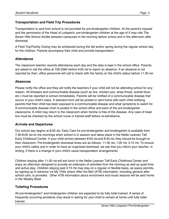## **Transportation and Field Trip Procedures**

Transportation to and from school is not provided for pre-kindergarten children. At the parent's request and the permission of the Head of Lotspeich, pre-kindergarten children at the age of 5 may ride The Seven Hills School shuttle between campuses in the morning before school and in the afternoon after dismissal.

A Field Trip/Family Outing may be scheduled during the fall and/or spring during the regular school day for the children. Parents accompany their child and provide transportation.

### **Attendance**

The classroom teacher records attendance each day and the data is kept in the school office. Parents are asked to call the office at 728-2360 before 9:00 AM to report an absence. If an absence is not reported by then, office personnel will call to check with the family on the child's status before 11:30 AM.

### **Absences**

Please notify the office and they will notify the teachers if your child will not be attending school for any reason. All illnesses and communicable disease (such as lice, chicken pox, strep throat, scarlet fever, etc.) must be reported to school immediately. Parents will be notified of a communicable disease that occurs in your child's class. A standard form will be posted or sent home with each child notifying parents that their child has been exposed to a communicable disease and what symptoms to watch for. A communicable disease chart is posted in the school office and each of the pre-kindergarten classrooms. A child may return to the classroom when he/she is free of the disease. Any case of head lice must be checked by the school nurse or trained staff before re-admittance.

### **Arrivals and Departures**

Our school day begins at 8:30 AM. Early Care for pre-kindergarten and kindergarten is available from 7:30-8:00 AM on the mornings when school is in session and takes place in the Nellie Leaman Taft Early Childhood Center. If your child arrives between 8:00 AM and 8:30 AM, they should be brought to their classroom. Pre-kindergarten dismissal times are as follows: 11:30 AM, 1:00 PM, 3:15 PM. To ensure your child's safety and in order to have an organized dismissal, we ask that you inform your teacher, in writing, if there is a change in your child's usual transportation arrangements.

Children staying after 11:30 AM will eat lunch in the Nellie Leaman Taft Early Childhood Center and enjoy an afternoon designed to provide an extension of activities from the morning as well as quiet time and active play. Children staying past 3:15 PM may stay on a regular or flexible basis, as space permits, by signing-up in advance via My 7hills where After the Bell (ATB) information, including general after school care, is provided. Other ATB information about enrichment and music lessons will be sent home in the Weekly Blast.

## **Toileting Procedures**

All pre-kindergarten\* and kindergarten children are expected to be fully toilet trained. A series of frequently occurring accidents may result in asking for your child to remain at home until fully toilet trained.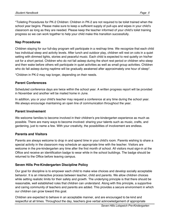\*Toileting Procedures for PK-2 Children: Children in PK-2 are not required to be toilet trained when the school year begins. Please make sure to keep a sufficient supply of pull-ups and wipes in your child's classroom as long as they are needed. Please keep the teacher informed of your child's toilet training progress so we can work together to help your child make this transition successfully.

### **Nap Procedures**

Children staying for our full-day program will participate in a rest/nap time. We recognize that each child has individual sleep and activity levels. After lunch and outdoor play, children will rest on cots in a quiet setting with dimmed lights, stories and peaceful music. Each child is expected to rest quietly on his/her cot for a short period. Children who do not fall asleep during the short rest period or children who sleep and then wake before others will participate in quiet activities as well as small group activities. Children who do fall asleep during naptime will be gradually awakened after approximately one hour of sleep<sup>\*</sup>.

\*Children in PK-2 may nap longer, depending on their needs.

### **Parent Conferences**

Scheduled conference days are twice within the school year. A written progress report will be provided in November and another will be mailed home in June.

In addition, you or your child's teacher may request a conference at any time during the school year. We always encourage maintaining an open line of communication throughout the year.

### **Parent Involvement**

We welcome families to become involved in their children's pre-kindergarten experience as much as possible. There are many ways to become involved: sharing your talents such as music, crafts, and gardening, just to name a few. With your creativity, the possibilities of involvement are endless.

### **Parents and Visitors**

Parents are always welcome to drop in and spend time in your child's room. Parents wishing to share a special activity in the classroom may schedule an appropriate time with the teacher. Visitors are welcome in the pre-kindergarten any time after the first month of school. All visitors must sign-in at the Office and receive an identification badge to wear while in the school buildings. The badge should be returned to the Office before leaving campus.

## **Seven Hills Pre-Kindergarten Discipline Policy**

Our goal for discipline is to empower each child to make wise choices and develop socially acceptable behavior. It is an interactive process between teacher, child and parents. We allow children choices while setting realistic limits for their safety and growth. The underlying principle is that there should be reasonable, well established rules that children can understand. Along with this principle, a supportive and caring community of teachers and parents are added. This provides a secure environment in which our children can grow toward this goal.

Children are expected to behave in an acceptable manner, and are encouraged to be kind and respectful at all times. Throughout the day, teachers give verbal acknowledgement of appropriate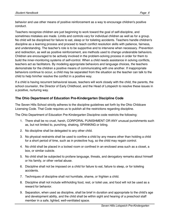behavior and use other means of positive reinforcement as a way to encourage children's positive conduct.

Teachers recognize children are just beginning to work toward the goal of self-discipline, and sometimes mistakes are made. Limits and controls vary for individual children as well as for a group. No child will be disciplined for failure to eat, sleep or for toileting accidents. Teachers handle children's discipline as a learning process and proceed to teach conflict resolution skills with patience, fairness, and understanding. The teacher's role is to be supportive and to intervene when necessary. Prevention and redirection, as well as positive reinforcement, are methods used to change undesirable behaviors. Children are encouraged to be actively involved in the problem-solving process in order for them to build the inner-monitoring systems of self-control. When a child needs assistance in solving conflicts, teachers act as facilitators. By modeling appropriate behaviors and language choices, the teachers demonstrate for the children a positive means of communicating with one another. If inappropriate behaviors continue to occur, a child may be separated from the situation so the teacher can talk to the child to help him/her resolve the conflict in a positive way.

If a child is having recurrent behavioral issues, teachers will work closely with the child, the parents, the school counselor, the Director of Early Childhood, and the Head of Lotspeich to resolve these issues in a positive, nurturing way.

# **The Ohio Department of Education Pre-Kindergarten Discipline Code**

The Seven Hills School strictly adheres to the discipline guidelines set forth by the Ohio Childcare Licensing Code. That Code requires us to publish all the restrictions regarding discipline.

The Ohio Department of Education Pre-Kindergarten Discipline code restricts the following:

- 1. There shall be no cruel, harsh, CORPORAL PUNISHMENT OR ANY unusual punishments such as, but not limited to, punching, shaking, SPANKING or biting.
- 2. No discipline shall be delegated to any other child.
- 3. No physical restraints shall be used to confine a child by any means other than holding a child for a short period of time, such as in protective hug, so the child may regain control.
- 4. No child shall be placed in a locked room or confined in an enclosed area such as a closet, a box, or similar cubicle.
- 5. No child shall be subjected to profane language, threats, and derogatory remarks about himself or his family, or other verbal abuse.
- 6. Discipline shall not be imposed on a child for failure to eat, failure to sleep, or for toileting accidents.
- 7. Techniques of discipline shall not humiliate, shame, or frighten a child.
- 8. Discipline shall not include withholding food, rest, or toilet use, and food will not be used as a reward for behavior.
- 9. Separation, when used as discipline, shall be brief in duration and appropriate to the child's age and development ability, and the child shall be within sight and hearing of a preschool staff member in a safe, lighted, well-ventilated space.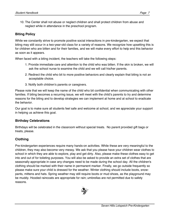10. The Center shall not abuse or neglect children and shall protect children from abuse and neglect while in attendance in the preschool program.

# **Biting Policy**

While we constantly strive to promote positive social interactions in pre-kindergarten, we expect that biting may still occur in a two-year-old class for a variety of reasons. We recognize how upsetting this is for children who are bitten and for their families, and we will make every effort to help end this behavior as soon as it appears.

When faced with a biting incident, the teachers will take the following steps:

- 1. Provide immediate care and attention to the child who was bitten. If the skin is broken, we will ask the school nurse to examine the child and we will call his/her parents.
- 2. Redirect the child who bit to more positive behaviors and clearly explain that biting is not an acceptable choice.
- 3. Notify both children's parents or caregivers.

Please note that we will keep the name of the child who bit confidential when communicating with other families. If biting becomes a recurring issue, we will meet with the child's parents to try and determine reasons for the biting and to develop strategies we can implement at home and at school to eradicate the behavior.

Our goal is to make sure all students feel safe and welcome at school, and we appreciate your support in helping us achieve this goal.

# **Birthday Celebrations**

Birthdays will be celebrated in the classroom without special treats. No parent provided gift bags or treats, please.

# **Clothing**

Pre-kindergarten experiences require many hands-on activities. While these are very meaningful to the children, they may also become very messy. We ask that you please have your children wear clothes to school in which they are able to explore, play and get dirty. Also, please make these clothes easy to get into and out of for toileting purposes. You will also be asked to provide an extra set of clothes that are seasonally appropriate in case any changes need to be made during the school day. All the children's clothing should be marked with their name in permanent marker. Finally, we go outside frequently so please make sure your child is dressed for the weather. Winter clothing should include boots, snowpants, mittens and hats. Spring weather may still require boots or mud shoes, as the playground may be muddy. Hooded raincoats are appropriate for rain; umbrellas are not permitted due to safety reasons.

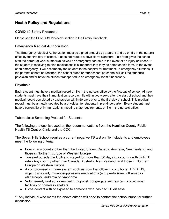# **Health Policy and Regulations**

### **COVID-19 Safety Protocols**

Please see the COVIC-19 Protocols section in the Family Handbook.

### **Emergency Medical Authorization**

The Emergency Medical Authorization must be signed annually by a parent and be on file in the nurse's office by the first day of school. It does not require a physician's signature. This form gives the school staff the parent(s) work number(s) as well as emergency contacts in the event of an injury or illness. If the student is receiving routine medications it is important that they be noted on this form. In the event of an emergency, it will accompany the student to the hospital for treatment. In emergency situations, if the parents cannot be reached, the school nurse or other school personnel will call the student's physician and/or have the student transported to an emergency room if necessary.

### **Physicals**

Each student must have a medical record on file in the nurse's office by the first day of school. All new students must have their immunization record on file within two weeks after the start of school and their medical record completed by a physician within 60 days prior to the first day of school. This medical record must be annually updated by a physician for students in pre-kindergarten. Every student must have a current list of immunizations, meeting state requirements, on file in the nurse's office.

### Tuberculosis Screening Protocol for Students:

The following protocol is based on the recommendations from the Hamilton County Public Health TB Control Clinic and the CDC.

The Seven Hills School requires a current negative TB test on file if students and employees meet the following criteria:

- Born in any country other than the United States, Canada, Australia, New Zealand, and those in Northern Europe or Western Europe
- Traveled outside the USA and stayed for more than 30 days in a country with high TB rate - Any country other than Canada, Australia, New Zealand, and those in Northern Europe or Western Europe.
- A compromised immune system such as from the following conditions: HIV/AIDS, organ transplant, immunosuppressive medications (e.g. prednisone, infliximab or etanercept), leukemia or lymphoma
- Volunteered, worked, or resided in high-risk congregate settings (e.g. correctional facilities or homeless shelters)
- Close contact with or exposed to someone who has had TB disease

\*\* Any individual who meets the above criteria will need to contact the school nurse for further discussion.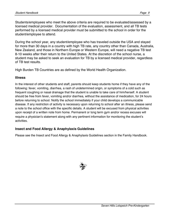Students/employees who meet the above criteria are required to be evaluated/assessed by a licensed medical provider. Documentation of the evaluation, assessment, and all TB tests performed by a licensed medical provider must be submitted to the school in order for the student/employee to attend.

During the school year, any student/employee who has traveled outside the USA and stayed for more than 30 days in a country with high TB rate, any country other than Canada, Australia, New Zealand, and those in Northern Europe or Western Europe, will need a negative TB test 8-10 weeks after their return to the United States. At the discretion of the school nurse, a student may be asked to seek an evaluation for TB by a licensed medical provider, regardless of TB test results.

High Burden TB Countries are as defined by the World Health Organization.

#### **Illness**

In the interest of other students and staff, parents should keep students home if they have any of the following: fever, vomiting, diarrhea, a rash of undetermined origin, or symptoms of a cold such as frequent coughing or nasal drainage that the student is unable to take care of him/herself. A student should be free from fever, vomiting and/or diarrhea, without the assistance of medication, for 24 hours before returning to school. Notify the school immediately if your child develops a communicable disease. If any restriction of activity is necessary upon returning to school after an illness, please send a note to the school office with the specific details. A student will be excused from physical activities upon receipt of a written note from home. Permanent or long term gym and/or recess excuses will require a physician's statement along with any pertinent information for monitoring the student"s activities.

### **Insect and Food Allergy & Anaphylaxis Guidelines**

Please see the Insect and Food Allergy & Anaphylaxis Guidelines section in the Family Handbook.

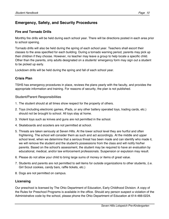# **Emergency, Safety, and Security Procedures**

## **Fire and Tornado Drills**

Monthly fire drills will be held during each school year. There will be directions posted in each area prior to school opening.

Tornado drills will also be held during the spring of each school year. Teachers shall escort their classes to the area specified for each building. During a tornado warning period, parents may pick up their children if they choose. However, no teacher may leave a group to help locate a specific child. Other than the parents, only adults designated on a students' emergency form may sign out a student to be picked up early.

Lockdown drills will be held during the spring and fall of each school year.

## **Crisis Plan**

TSHS has emergency procedures in place, reviews the plans yearly with the faculty, and provides the appropriate information and training. For reasons of security, the plan is not published.

### Student/Parent Responsibilities

- 1. The student should at all times show respect for the property of others.
- 2. Toys (including electronic games, iPads, or any other battery operated toys, trading cards, etc.) should not be brought to school. All toys stay at home.
- 3. Violent toys such as knives and guns are not permitted in the school.
- 4. Skateboards and scooters are not permitted at school.
- 5. Threats are taken seriously at Seven Hills. At the lower school level they are hurtful and often frightening. The school will consider them as such and act accordingly. At the middle and upper school level, when we determine that a serious threat has been made and can identify who made it, we will remove the student and the student's possessions from the class and will notify his/her parents. Based on the school's assessment, the student may be required to have an evaluation by educational, medical, and/or law enforcement professionals. Suspension or expulsion may result.
- 6. Please do not allow your child to bring large sums of money or items of great value.
- 7. Students and parents are not permitted to sell items for outside organizations to other students, (i.e. Girl Scout cookies, candy bars, raffle tickets, etc.)
- 8. Dogs are not permitted on campus.

### **Licensing**

Our preschool is licensed by The Ohio Department of Education, Early Childhood Division. A copy of the Rules for Preschool Programs is available in the office. Should any person suspect a violation of the Administrative code by the school, please phone the Ohio Department of Education at 614-466-0224.